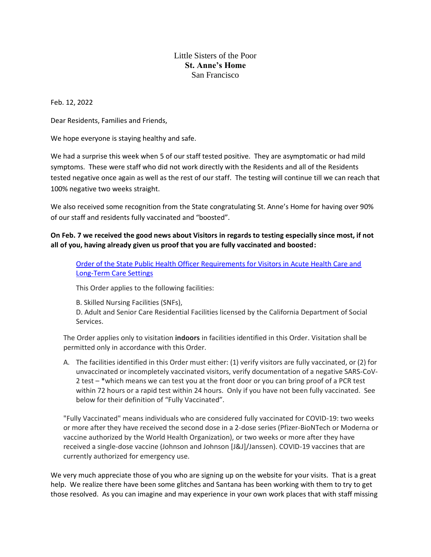## Little Sisters of the Poor **St. Anne's Home** San Francisco

Feb. 12, 2022

Dear Residents, Families and Friends,

We hope everyone is staying healthy and safe.

We had a surprise this week when 5 of our staff tested positive. They are asymptomatic or had mild symptoms. These were staff who did not work directly with the Residents and all of the Residents tested negative once again as well as the rest of our staff. The testing will continue till we can reach that 100% negative two weeks straight.

We also received some recognition from the State congratulating St. Anne's Home for having over 90% of our staff and residents fully vaccinated and "boosted".

## **On Feb. 7 we received the good news about Visitors in regards to testing especially since most, if not all of you, having already given us proof that you are fully vaccinated and boosted:**

[Order of the State Public Health Officer Requirements for Visitors in Acute Health Care and](https://www.cdph.ca.gov/Programs/CID/DCDC/Pages/COVID-19/Order-of-the-State-Public-Health-Officer-Requirements-for-Visitors-in-Acute-Health-Care-and-Long-Term-Care-Settings.aspx)  [Long-Term Care Settings](https://www.cdph.ca.gov/Programs/CID/DCDC/Pages/COVID-19/Order-of-the-State-Public-Health-Officer-Requirements-for-Visitors-in-Acute-Health-Care-and-Long-Term-Care-Settings.aspx)

This Order applies to the following facilities:

B. Skilled Nursing Facilities (SNFs),

D. Adult and Senior Care Residential Facilities licensed by the California Department of Social Services.

The Order applies only to visitation **indoors** in facilities identified in this Order. Visitation shall be permitted only in accordance with this Order.

A. The facilities identified in this Order must either: (1) verify visitors are fully vaccinated, or (2) for unvaccinated or incompletely vaccinated visitors, verify documentation of a negative SARS-CoV-2 test – \*which means we can test you at the front door or you can bring proof of a PCR test within 72 hours or a rapid test within 24 hours. Only if you have not been fully vaccinated. See below for their definition of "Fully Vaccinated".

"Fully Vaccinated" means individuals who are considered fully vaccinated for COVID-19: two weeks or more after they have received the second dose in a 2-dose series (Pfizer-BioNTech or Moderna or vaccine authorized by the World Health Organization), or two weeks or more after they have received a single-dose vaccine (Johnson and Johnson [J&J]/Janssen). COVID-19 vaccines that are currently authorized for emergency use.

We very much appreciate those of you who are signing up on the website for your visits. That is a great help. We realize there have been some glitches and Santana has been working with them to try to get those resolved. As you can imagine and may experience in your own work places that with staff missing